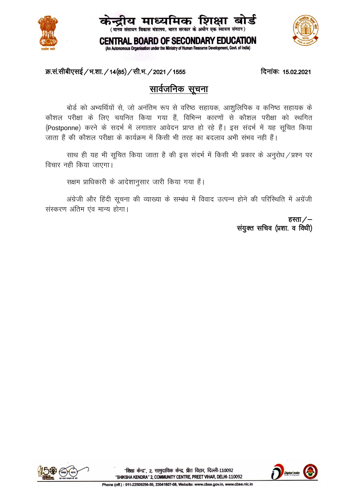





**CENTRAL BOARD OF SECONDARY EDUCATION** (An Autonomous Organisation under the Ministry of Human Resource Development, Govt. of India)

## क्र.सं.सीबीएसई / भ.शा. / 14(85) / सी.भ. / 2021 / 1555

#### दिनांक: 15.02.2021

# सार्वजनिक सूचना

बोर्ड को अभ्यर्थियों से, जो अनंतिम रूप से वरिष्ठ सहायक, आशुलिपिक व कनिष्ठ सहायक के कौशल परीक्षा के लिए चयनित किया गया हैं, विभिन्न कारणों से कौशल परीक्षा को स्थगित (Postponne) करने के सदर्भ में लगातार आवेदन प्राप्त हो रहे हैं। इस संदर्भ में यह सूचित किया जाता हैं की कौशल परीक्षा के कार्यक्रम में किसी भी तरह का बदलाव अभी संभव नही हैं।

साथ ही यह भी सुचित किया जाता है की इस संदर्भ में किसी भी प्रकार के अनुरोध / प्रश्न पर विचार नही किया जाएगा।

सक्षम प्राधिकारी के आदेशानूसार जारी किया गया हैं।

अंग्रेजी और हिंदी सूचना की व्याख्या के सम्बंध में विवाद उत्पन्न होने की परिस्थिति में अग्रेंजी संस्करण अंतिम एंव मान्य होगा।

> हस्ता  $/$ – संयुक्त सचिव (प्रशा. व विधी)